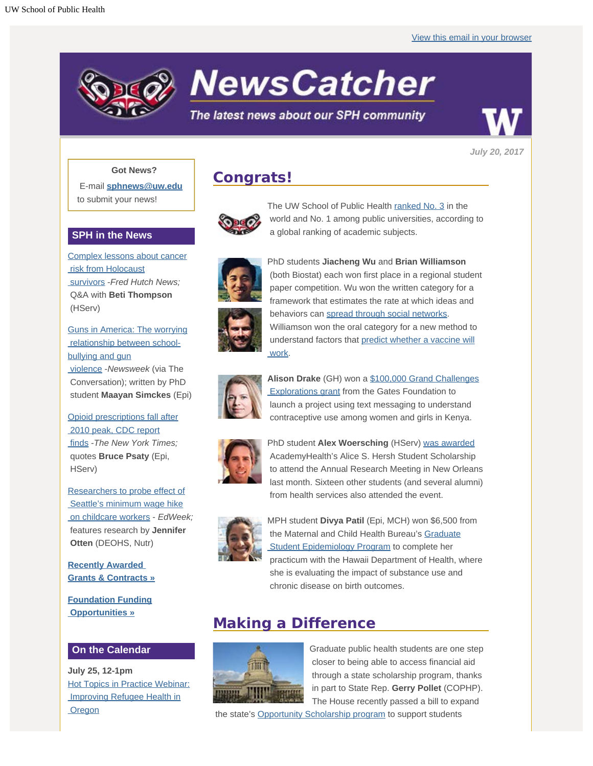

**NewsCatcher** 

## The latest news about our SPH community

*July 20, 2017*

### **Got News?**

E-mail **[sphnews@uw.edu](mailto:sphnews@uw.edu)** to submit your news!

### **SPH in the News**

[Complex lessons about cancer](http://engage.washington.edu/site/R?i=6C38TxigzOSytDwJgEwZGg)  [risk from Holocaust](http://engage.washington.edu/site/R?i=6C38TxigzOSytDwJgEwZGg)  [survivors](http://engage.washington.edu/site/R?i=6C38TxigzOSytDwJgEwZGg) -*Fred Hutch News;* Q&A with **Beti Thompson** (HServ)

[Guns in America: The worrying](http://engage.washington.edu/site/R?i=UHs8uAxZmeSZkzwZVPZxIg)  [relationship between school](http://engage.washington.edu/site/R?i=UHs8uAxZmeSZkzwZVPZxIg)[bullying and gun](http://engage.washington.edu/site/R?i=UHs8uAxZmeSZkzwZVPZxIg)  [violence](http://engage.washington.edu/site/R?i=UHs8uAxZmeSZkzwZVPZxIg) -*Newsweek* (via The Conversation); written by PhD student **Maayan Simckes** (Epi)

[Opioid prescriptions fall after](http://engage.washington.edu/site/R?i=DnrUiuF85OTXBnoVV0fupA)  [2010 peak, CDC report](http://engage.washington.edu/site/R?i=DnrUiuF85OTXBnoVV0fupA)  [finds](http://engage.washington.edu/site/R?i=DnrUiuF85OTXBnoVV0fupA) -*The New York Times;*

 quotes **Bruce Psaty** (Epi, HServ)

[Researchers to probe effect of](http://engage.washington.edu/site/R?i=ruDkCGqN9mZSVsMb8T0owg)  [Seattle's minimum wage hike](http://engage.washington.edu/site/R?i=ruDkCGqN9mZSVsMb8T0owg)  [on childcare workers](http://engage.washington.edu/site/R?i=ruDkCGqN9mZSVsMb8T0owg) - *EdWeek;* features research by **Jennifer Otten** (DEOHS, Nutr)

**[Recently Awarded](http://engage.washington.edu/site/R?i=tHEt1jJ7K84MwnKvI47XgA)  [Grants & Contracts »](http://engage.washington.edu/site/R?i=tHEt1jJ7K84MwnKvI47XgA)**

**[Foundation Funding](http://engage.washington.edu/site/R?i=L7O5ZxC5Ax3jauUIIkATHA)  [Opportunities »](http://engage.washington.edu/site/R?i=L7O5ZxC5Ax3jauUIIkATHA)**

## **On the Calendar**

**July 25, 12-1pm** [Hot Topics in Practice Webinar:](http://engage.washington.edu/site/R?i=jdZJMF4K7xs5grPB0i1Zow)  [Improving Refugee Health in](http://engage.washington.edu/site/R?i=jdZJMF4K7xs5grPB0i1Zow) **Oregon** 

## **Congrats!**



The UW School of Public Health [ranked No. 3](http://engage.washington.edu/site/R?i=8qQWq4Uc1NqcMtIY9ze4QQ) in the world and No. 1 among public universities, according to a global ranking of academic subjects.



PhD students **Jiacheng Wu** and **Brian Williamson** (both Biostat) each won first place in a regional student paper competition. Wu won the written category for a framework that estimates the rate at which ideas and behaviors can [spread through social networks.](http://engage.washington.edu/site/R?i=TVj58kJ-VKj6GyCInV8khg) Williamson won the oral category for a new method to understand factors that [predict whether a vaccine will](http://engage.washington.edu/site/R?i=o3dDUsxvOFfvJDYWoXsf_w)  [work](http://engage.washington.edu/site/R?i=o3dDUsxvOFfvJDYWoXsf_w).



**Alison Drake** (GH) won a [\\$100,000 Grand Challenges](http://engage.washington.edu/site/R?i=mBkaY5_lhnuQoB_kplPALw)  [Explorations grant](http://engage.washington.edu/site/R?i=mBkaY5_lhnuQoB_kplPALw) from the Gates Foundation to launch a project using text messaging to understand contraceptive use among women and girls in Kenya.



PhD student **Alex Woersching** (HServ) [was awarded](http://engage.washington.edu/site/R?i=-Yzi1B66fjnG2oOLKuUdYA) AcademyHealth's Alice S. Hersh Student Scholarship to attend the Annual Research Meeting in New Orleans last month. Sixteen other students (and several alumni) from health services also attended the event.



MPH student **Divya Patil** (Epi, MCH) won \$6,500 from the Maternal and Child Health Bureau's [Graduate](http://engage.washington.edu/site/R?i=M4_WL8H1SQLYvwcT3sOoJA)  [Student Epidemiology Program](http://engage.washington.edu/site/R?i=M4_WL8H1SQLYvwcT3sOoJA) to complete her practicum with the Hawaii Department of Health, where she is evaluating the impact of substance use and chronic disease on birth outcomes.

# **Making a Difference**



Graduate public health students are one step closer to being able to access financial aid through a state scholarship program, thanks in part to State Rep. **Gerry Pollet** (COPHP). The House recently passed a bill to expand

the state's [Opportunity Scholarship program](http://engage.washington.edu/site/R?i=2zqFhTxFVpf11w4tRoIMOQ) to support students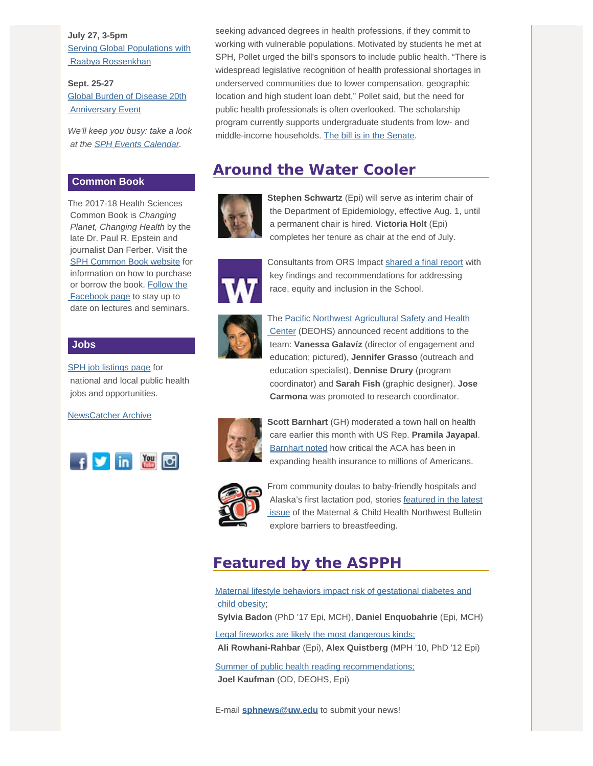**July 27, 3-5pm [Serving Global Populations with](http://engage.washington.edu/site/R?i=ivGdeZx2AefLUsUJBRCqSQ)**  [Raabya Rossenkhan](http://engage.washington.edu/site/R?i=ivGdeZx2AefLUsUJBRCqSQ)

**Sept. 25-27** [Global Burden of Disease 20th](http://engage.washington.edu/site/R?i=3V28iPywk2dcGtZ2gjIseA) **Anniversary Event** 

*We'll keep you busy: take a look at the [SPH Events Calendar](http://engage.washington.edu/site/R?i=ssxhbzwOFLuk6mdlRJGK9w).*

### **Common Book**

The 2017-18 Health Sciences Common Book is *Changing Planet, Changing Health* by the late Dr. Paul R. Epstein and journalist Dan Ferber. Visit the [SPH Common Book website](http://engage.washington.edu/site/R?i=c0dfCqV8LdYED0mbE6OsHQ) for information on how to purchase or borrow the book. [Follow the](http://engage.washington.edu/site/R?i=WbpEIN_TKQ3VngVBaxRLaw)  [Facebook page](http://engage.washington.edu/site/R?i=WbpEIN_TKQ3VngVBaxRLaw) to stay up to date on lectures and seminars.

#### **Jobs**

[SPH job listings page](http://engage.washington.edu/site/R?i=hzbLteg3vu1LwzUJuV3goA) for national and local public health jobs and opportunities.

[NewsCatcher Archive](http://engage.washington.edu/site/R?i=9akhkiGEWcZqbkAazd_xaw)



 seeking advanced degrees in health professions, if they commit to working with vulnerable populations. Motivated by students he met at SPH, Pollet urged the bill's sponsors to include public health. "There is widespread legislative recognition of health professional shortages in underserved communities due to lower compensation, geographic location and high student loan debt," Pollet said, but the need for public health professionals is often overlooked. The scholarship program currently supports undergraduate students from low- and middle-income households. [The bill is in](http://engage.washington.edu/site/R?i=L8bjDuKiX8Sz5-u2ITVdDw) the Senate.

## **Around the Water Cooler**



**Stephen Schwartz** (Epi) will serve as interim chair of the Department of Epidemiology, effective Aug. 1, until a permanent chair is hired. **Victoria Holt** (Epi) completes her tenure as chair at the end of July.



Consultants from ORS Impact [shared a final report](http://engage.washington.edu/site/R?i=z2Bi1zOTcdim4rnZpR3LTg) with key findings and recommendations for addressing race, equity and inclusion in the School.



The [Pacific Northwest Agricultural Safety and Health](http://engage.washington.edu/site/R?i=4QpuPbSWzyEZF2AdIuw8Eg)  [Center](http://engage.washington.edu/site/R?i=4QpuPbSWzyEZF2AdIuw8Eg) (DEOHS) announced recent additions to the team: **Vanessa Galavíz** (director of engagement and education; pictured), **Jennifer Grasso** (outreach and education specialist), **Dennise Drury** (program coordinator) and **Sarah Fish** (graphic designer). **Jose Carmona** was promoted to research coordinator.



**Scott Barnhart** (GH) moderated a town hall on health care earlier this month with US Rep. **Pramila Jayapal**. [Barnhart noted](http://engage.washington.edu/site/R?i=7TOXo-eizqF2p_kcEtJnYw) how critical the ACA has been in expanding health insurance to millions of Americans.



From community doulas to baby-friendly hospitals and Alaska's first lactation pod, stories [featured in the latest](http://engage.washington.edu/site/R?i=Ay0b3UNdk_Vqz7yeel3VQQ)  [issue](http://engage.washington.edu/site/R?i=Ay0b3UNdk_Vqz7yeel3VQQ) of the Maternal & Child Health Northwest Bulletin explore barriers to breastfeeding.

# **Featured by the ASPPH**

[Maternal lifestyle behaviors impact risk of gestational diabetes and](http://engage.washington.edu/site/R?i=q2hsLg0C7xlaoUp0dNsTHQ)  [child obesity](http://engage.washington.edu/site/R?i=q2hsLg0C7xlaoUp0dNsTHQ);

**Sylvia Badon** (PhD '17 Epi, MCH), **Daniel Enquobahrie** (Epi, MCH)

[Legal fireworks are likely the most dangerous kinds;](http://engage.washington.edu/site/R?i=BQWfataGZxQLU8BxA1gQiw) **Ali Rowhani-Rahbar** (Epi), **Alex Quistberg** (MPH '10, PhD '12 Epi)

[Summer of public health reading recommendations;](http://engage.washington.edu/site/R?i=4VrGKO587k9DmnKOnvv8Vw) **Joel Kaufman** (OD, DEOHS, Epi)

E-mail **[sphnews@uw.edu](mailto:sphnews@uw.edu)** to submit your news!